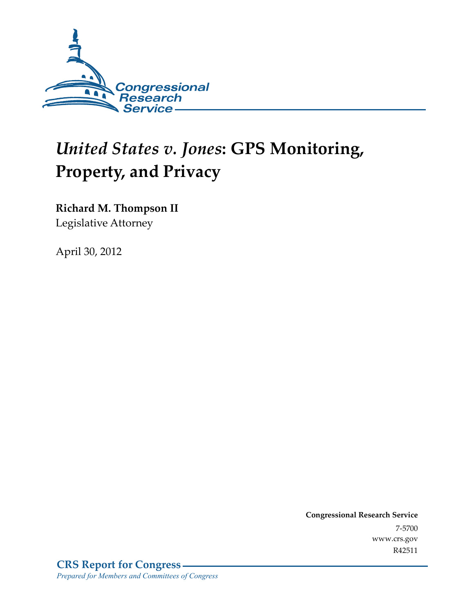

# *United States v. Jones***: GPS Monitoring, Property, and Privacy**

**Richard M. Thompson II** 

Legislative Attorney

April 30, 2012

**Congressional Research Service**  7-5700 www.crs.gov R42511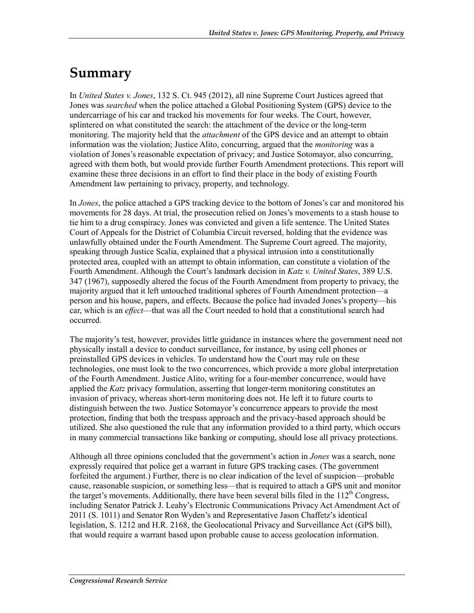## **Summary**

In *United States v. Jones*, 132 S. Ct. 945 (2012), all nine Supreme Court Justices agreed that Jones was *searched* when the police attached a Global Positioning System (GPS) device to the undercarriage of his car and tracked his movements for four weeks. The Court, however, splintered on what constituted the search: the attachment of the device or the long-term monitoring. The majority held that the *attachment* of the GPS device and an attempt to obtain information was the violation; Justice Alito, concurring, argued that the *monitoring* was a violation of Jones's reasonable expectation of privacy; and Justice Sotomayor, also concurring, agreed with them both, but would provide further Fourth Amendment protections. This report will examine these three decisions in an effort to find their place in the body of existing Fourth Amendment law pertaining to privacy, property, and technology.

In *Jones*, the police attached a GPS tracking device to the bottom of Jones's car and monitored his movements for 28 days. At trial, the prosecution relied on Jones's movements to a stash house to tie him to a drug conspiracy. Jones was convicted and given a life sentence. The United States Court of Appeals for the District of Columbia Circuit reversed, holding that the evidence was unlawfully obtained under the Fourth Amendment. The Supreme Court agreed. The majority, speaking through Justice Scalia, explained that a physical intrusion into a constitutionally protected area, coupled with an attempt to obtain information, can constitute a violation of the Fourth Amendment. Although the Court's landmark decision in *Katz v. United States*, 389 U.S. 347 (1967), supposedly altered the focus of the Fourth Amendment from property to privacy, the majority argued that it left untouched traditional spheres of Fourth Amendment protection—a person and his house, papers, and effects. Because the police had invaded Jones's property—his car, which is an *effect*—that was all the Court needed to hold that a constitutional search had occurred.

The majority's test, however, provides little guidance in instances where the government need not physically install a device to conduct surveillance, for instance, by using cell phones or preinstalled GPS devices in vehicles. To understand how the Court may rule on these technologies, one must look to the two concurrences, which provide a more global interpretation of the Fourth Amendment. Justice Alito, writing for a four-member concurrence, would have applied the *Katz* privacy formulation, asserting that longer-term monitoring constitutes an invasion of privacy, whereas short-term monitoring does not. He left it to future courts to distinguish between the two. Justice Sotomayor's concurrence appears to provide the most protection, finding that both the trespass approach and the privacy-based approach should be utilized. She also questioned the rule that any information provided to a third party, which occurs in many commercial transactions like banking or computing, should lose all privacy protections.

Although all three opinions concluded that the government's action in *Jones* was a search, none expressly required that police get a warrant in future GPS tracking cases. (The government forfeited the argument.) Further, there is no clear indication of the level of suspicion—probable cause, reasonable suspicion, or something less—that is required to attach a GPS unit and monitor the target's movements. Additionally, there have been several bills filed in the  $112<sup>th</sup>$  Congress, including Senator Patrick J. Leahy's Electronic Communications Privacy Act Amendment Act of 2011 (S. 1011) and Senator Ron Wyden's and Representative Jason Chaffetz's identical legislation, S. 1212 and H.R. 2168, the Geolocational Privacy and Surveillance Act (GPS bill), that would require a warrant based upon probable cause to access geolocation information.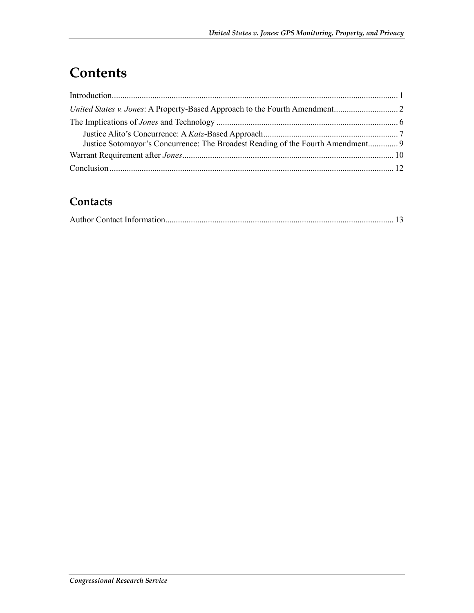## **Contents**

| Justice Sotomayor's Concurrence: The Broadest Reading of the Fourth Amendment 9 |  |
|---------------------------------------------------------------------------------|--|
|                                                                                 |  |
|                                                                                 |  |

#### **Contacts**

|--|--|--|--|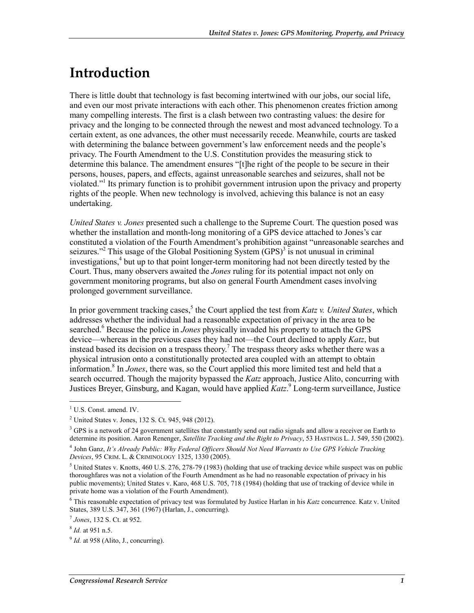### **Introduction**

There is little doubt that technology is fast becoming intertwined with our jobs, our social life, and even our most private interactions with each other. This phenomenon creates friction among many compelling interests. The first is a clash between two contrasting values: the desire for privacy and the longing to be connected through the newest and most advanced technology. To a certain extent, as one advances, the other must necessarily recede. Meanwhile, courts are tasked with determining the balance between government's law enforcement needs and the people's privacy. The Fourth Amendment to the U.S. Constitution provides the measuring stick to determine this balance. The amendment ensures "[t]he right of the people to be secure in their persons, houses, papers, and effects, against unreasonable searches and seizures, shall not be violated."<sup>1</sup> Its primary function is to prohibit government intrusion upon the privacy and property rights of the people. When new technology is involved, achieving this balance is not an easy undertaking.

*United States v. Jones* presented such a challenge to the Supreme Court. The question posed was whether the installation and month-long monitoring of a GPS device attached to Jones's car constituted a violation of the Fourth Amendment's prohibition against "unreasonable searches and seizures."<sup>2</sup> This usage of the Global Positioning System  $(GPS)^3$  is not unusual in criminal investigations,<sup>4</sup> but up to that point longer-term monitoring had not been directly tested by the Court. Thus, many observers awaited the *Jones* ruling for its potential impact not only on government monitoring programs, but also on general Fourth Amendment cases involving prolonged government surveillance.

In prior government tracking cases,<sup>5</sup> the Court applied the test from *Katz v. United States*, which addresses whether the individual had a reasonable expectation of privacy in the area to be searched.<sup>6</sup> Because the police in *Jones* physically invaded his property to attach the GPS device—whereas in the previous cases they had not—the Court declined to apply *Katz*, but instead based its decision on a trespass theory.<sup>7</sup> The trespass theory asks whether there was a physical intrusion onto a constitutionally protected area coupled with an attempt to obtain information.8 In *Jones*, there was, so the Court applied this more limited test and held that a search occurred. Though the majority bypassed the *Katz* approach, Justice Alito, concurring with Justices Breyer, Ginsburg, and Kagan, would have applied *Katz*. 9 Long-term surveillance, Justice

<sup>&</sup>lt;sup>1</sup> U.S. Const. amend. IV.

<sup>2</sup> United States v. Jones, 132 S. Ct. 945, 948 (2012).

<sup>&</sup>lt;sup>3</sup> GPS is a network of 24 government satellites that constantly send out radio signals and allow a receiver on Earth to determine its position. Aaron Renenger, *Satellite Tracking and the Right to Privacy*, 53 HASTINGS L. J. 549, 550 (2002). 4 John Ganz, *It's Already Public: Why Federal Officers Should Not Need Warrants to Use GPS Vehicle Tracking Devices*, 95 CRIM. L. & CRIMINOLOGY 1325, 1330 (2005).

<sup>&</sup>lt;sup>5</sup> United States v. Knotts, 460 U.S. 276, 278-79 (1983) (holding that use of tracking device while suspect was on public thoroughfares was not a violation of the Fourth Amendment as he had no reasonable expectation of privacy in his public movements); United States v. Karo, 468 U.S. 705, 718 (1984) (holding that use of tracking of device while in private home was a violation of the Fourth Amendment).

<sup>&</sup>lt;sup>6</sup> This reasonable expectation of privacy test was formulated by Justice Harlan in his *Katz* concurrence. Katz v. United States, 389 U.S. 347, 361 (1967) (Harlan, J., concurring).

<sup>7</sup> *Jones*, 132 S. Ct. at 952.

<sup>8</sup> *Id.* at 951 n.5.

 $^{9}$  *Id.* at 958 (Alito, J., concurring).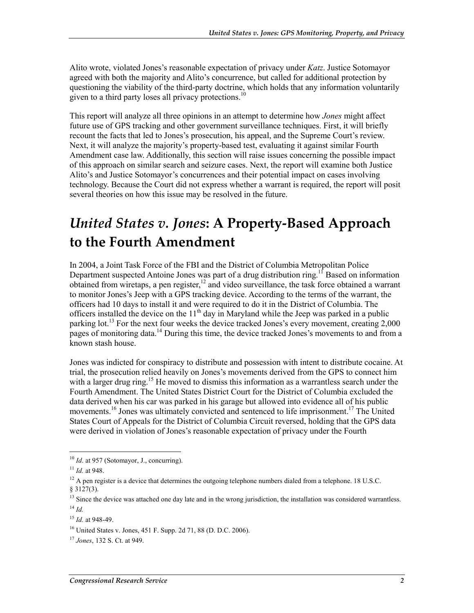Alito wrote, violated Jones's reasonable expectation of privacy under *Katz*. Justice Sotomayor agreed with both the majority and Alito's concurrence, but called for additional protection by questioning the viability of the third-party doctrine, which holds that any information voluntarily given to a third party loses all privacy protections.<sup>10</sup>

This report will analyze all three opinions in an attempt to determine how *Jones* might affect future use of GPS tracking and other government surveillance techniques. First, it will briefly recount the facts that led to Jones's prosecution, his appeal, and the Supreme Court's review. Next, it will analyze the majority's property-based test, evaluating it against similar Fourth Amendment case law. Additionally, this section will raise issues concerning the possible impact of this approach on similar search and seizure cases. Next, the report will examine both Justice Alito's and Justice Sotomayor's concurrences and their potential impact on cases involving technology. Because the Court did not express whether a warrant is required, the report will posit several theories on how this issue may be resolved in the future.

## *United States v. Jones***: A Property-Based Approach to the Fourth Amendment**

In 2004, a Joint Task Force of the FBI and the District of Columbia Metropolitan Police Department suspected Antoine Jones was part of a drug distribution ring.<sup>11</sup> Based on information obtained from wiretaps, a pen register,12 and video surveillance, the task force obtained a warrant to monitor Jones's Jeep with a GPS tracking device. According to the terms of the warrant, the officers had 10 days to install it and were required to do it in the District of Columbia. The officers installed the device on the  $11<sup>th</sup>$  day in Maryland while the Jeep was parked in a public parking lot.<sup>13</sup> For the next four weeks the device tracked Jones's every movement, creating 2,000 pages of monitoring data.<sup>14</sup> During this time, the device tracked Jones's movements to and from a known stash house.

Jones was indicted for conspiracy to distribute and possession with intent to distribute cocaine. At trial, the prosecution relied heavily on Jones's movements derived from the GPS to connect him with a larger drug ring.<sup>15</sup> He moved to dismiss this information as a warrantless search under the Fourth Amendment. The United States District Court for the District of Columbia excluded the data derived when his car was parked in his garage but allowed into evidence all of his public movements.<sup>16</sup> Jones was ultimately convicted and sentenced to life imprisonment.<sup>17</sup> The United States Court of Appeals for the District of Columbia Circuit reversed, holding that the GPS data were derived in violation of Jones's reasonable expectation of privacy under the Fourth

<sup>&</sup>lt;sup>10</sup> *Id.* at 957 (Sotomayor, J., concurring).

<sup>11</sup> *Id.* at 948.

 $12$  A pen register is a device that determines the outgoing telephone numbers dialed from a telephone. 18 U.S.C.

 $§ 3127(3).$ 

 $<sup>13</sup>$  Since the device was attached one day late and in the wrong jurisdiction, the installation was considered warrantless.</sup>  $^{14}$  *Id*.

<sup>15</sup> *Id.* at 948-49.

<sup>16</sup> United States v. Jones, 451 F. Supp. 2d 71, 88 (D. D.C. 2006).

<sup>17</sup> *Jones*, 132 S. Ct. at 949.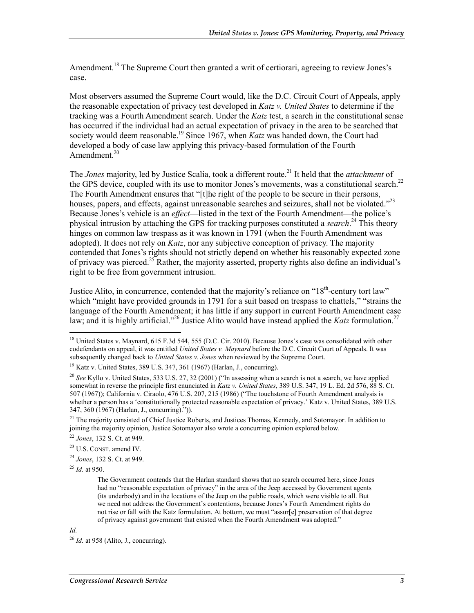Amendment.<sup>18</sup> The Supreme Court then granted a writ of certiorari, agreeing to review Jones's case.

Most observers assumed the Supreme Court would, like the D.C. Circuit Court of Appeals, apply the reasonable expectation of privacy test developed in *Katz v. United States* to determine if the tracking was a Fourth Amendment search. Under the *Katz* test, a search in the constitutional sense has occurred if the individual had an actual expectation of privacy in the area to be searched that society would deem reasonable.<sup>19</sup> Since 1967, when *Katz* was handed down, the Court had developed a body of case law applying this privacy-based formulation of the Fourth Amendment. $20$ 

The *Jones* majority, led by Justice Scalia, took a different route.<sup>21</sup> It held that the *attachment* of the GPS device, coupled with its use to monitor Jones's movements, was a constitutional search.<sup>22</sup> The Fourth Amendment ensures that "[t]he right of the people to be secure in their persons, houses, papers, and effects, against unreasonable searches and seizures, shall not be violated."<sup>23</sup> Because Jones's vehicle is an *effect*—listed in the text of the Fourth Amendment—the police's physical intrusion by attaching the GPS for tracking purposes constituted a *search*. 24 This theory hinges on common law trespass as it was known in 1791 (when the Fourth Amendment was adopted). It does not rely on *Katz*, nor any subjective conception of privacy. The majority contended that Jones's rights should not strictly depend on whether his reasonably expected zone of privacy was pierced.<sup>25</sup> Rather, the majority asserted, property rights also define an individual's right to be free from government intrusion.

Justice Alito, in concurrence, contended that the majority's reliance on "18<sup>th</sup>-century tort law" which "might have provided grounds in 1791 for a suit based on trespass to chattels," "strains the language of the Fourth Amendment; it has little if any support in current Fourth Amendment case law; and it is highly artificial."<sup>26</sup> Justice Alito would have instead applied the *Katz* formulation.<sup>27</sup>

<sup>25</sup> *Id.* at 950.

#### *Id.*

<sup>&</sup>lt;sup>18</sup> United States v. Maynard, 615 F.3d 544, 555 (D.C. Cir. 2010). Because Jones's case was consolidated with other codefendants on appeal, it was entitled *United States v. Maynard* before the D.C. Circuit Court of Appeals. It was subsequently changed back to *United States v. Jones* when reviewed by the Supreme Court.

<sup>19</sup> Katz v. United States, 389 U.S. 347, 361 (1967) (Harlan, J., concurring).

<sup>&</sup>lt;sup>20</sup> *See* Kyllo v. United States, 533 U.S. 27, 32 (2001) ("In assessing when a search is not a search, we have applied somewhat in reverse the principle first enunciated in *Katz v. United States*, 389 U.S. 347, 19 L. Ed. 2d 576, 88 S. Ct. 507 (1967)); California v. Ciraolo, 476 U.S. 207, 215 (1986) ("The touchstone of Fourth Amendment analysis is whether a person has a 'constitutionally protected reasonable expectation of privacy.' Katz v. United States, 389 U.S. 347, 360 (1967) (Harlan, J., concurring).")).

<sup>&</sup>lt;sup>21</sup> The majority consisted of Chief Justice Roberts, and Justices Thomas, Kennedy, and Sotomayor. In addition to joining the majority opinion, Justice Sotomayor also wrote a concurring opinion explored below.

<sup>22</sup> *Jones*, 132 S. Ct. at 949.

<sup>23</sup> U.S. CONST. amend IV.

<sup>24</sup> *Jones*, 132 S. Ct. at 949.

The Government contends that the Harlan standard shows that no search occurred here, since Jones had no "reasonable expectation of privacy" in the area of the Jeep accessed by Government agents (its underbody) and in the locations of the Jeep on the public roads, which were visible to all. But we need not address the Government's contentions, because Jones's Fourth Amendment rights do not rise or fall with the Katz formulation. At bottom, we must "assur[e] preservation of that degree of privacy against government that existed when the Fourth Amendment was adopted."

 $^{26}$  *Id.* at 958 (Alito, J., concurring).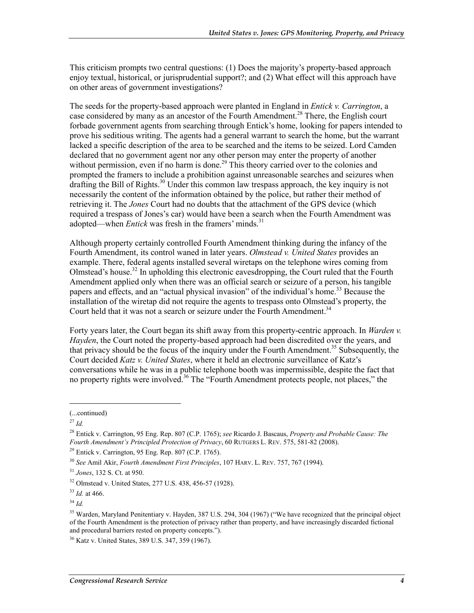This criticism prompts two central questions: (1) Does the majority's property-based approach enjoy textual, historical, or jurisprudential support?; and (2) What effect will this approach have on other areas of government investigations?

The seeds for the property-based approach were planted in England in *Entick v. Carrington*, a case considered by many as an ancestor of the Fourth Amendment.<sup>28</sup> There, the English court forbade government agents from searching through Entick's home, looking for papers intended to prove his seditious writing. The agents had a general warrant to search the home, but the warrant lacked a specific description of the area to be searched and the items to be seized. Lord Camden declared that no government agent nor any other person may enter the property of another without permission, even if no harm is done.<sup>29</sup> This theory carried over to the colonies and prompted the framers to include a prohibition against unreasonable searches and seizures when drafting the Bill of Rights.<sup>30</sup> Under this common law trespass approach, the key inquiry is not necessarily the content of the information obtained by the police, but rather their method of retrieving it. The *Jones* Court had no doubts that the attachment of the GPS device (which required a trespass of Jones's car) would have been a search when the Fourth Amendment was adopted—when *Entick* was fresh in the framers' minds.<sup>31</sup>

Although property certainly controlled Fourth Amendment thinking during the infancy of the Fourth Amendment, its control waned in later years. *Olmstead v. United States* provides an example. There, federal agents installed several wiretaps on the telephone wires coming from Olmstead's house.<sup>32</sup> In upholding this electronic eavesdropping, the Court ruled that the Fourth Amendment applied only when there was an official search or seizure of a person, his tangible papers and effects, and an "actual physical invasion" of the individual's home.<sup>33</sup> Because the installation of the wiretap did not require the agents to trespass onto Olmstead's property, the Court held that it was not a search or seizure under the Fourth Amendment.<sup>34</sup>

Forty years later, the Court began its shift away from this property-centric approach. In *Warden v. Hayden*, the Court noted the property-based approach had been discredited over the years, and that privacy should be the focus of the inquiry under the Fourth Amendment.<sup>35</sup> Subsequently, the Court decided *Katz v. United States*, where it held an electronic surveillance of Katz's conversations while he was in a public telephone booth was impermissible, despite the fact that no property rights were involved.<sup>36</sup> The "Fourth Amendment protects people, not places," the

 $\overline{a}$ 

<sup>(...</sup>continued)

<sup>27</sup> *Id.*

<sup>28</sup> Entick v. Carrington, 95 Eng. Rep. 807 (C.P. 1765); *see* Ricardo J. Bascaus, *Property and Probable Cause: The Fourth Amendment's Principled Protection of Privacy*, 60 RUTGERS L. REV. 575, 581-82 (2008).

 $29$  Entick v. Carrington, 95 Eng. Rep. 807 (C.P. 1765).

<sup>30</sup> *See* Amil Akir, *Fourth Amendment First Principles*, 107 HARV. L. REV. 757, 767 (1994).

<sup>31</sup> *Jones*, 132 S. Ct. at 950.

<sup>32</sup> Olmstead v. United States, 277 U.S. 438, 456-57 (1928).

<sup>33</sup> *Id.* at 466.

<sup>34</sup> *Id.*

<sup>&</sup>lt;sup>35</sup> Warden, Maryland Penitentiary v. Hayden, 387 U.S. 294, 304 (1967) ("We have recognized that the principal object of the Fourth Amendment is the protection of privacy rather than property, and have increasingly discarded fictional and procedural barriers rested on property concepts.").

<sup>36</sup> Katz v. United States, 389 U.S. 347, 359 (1967).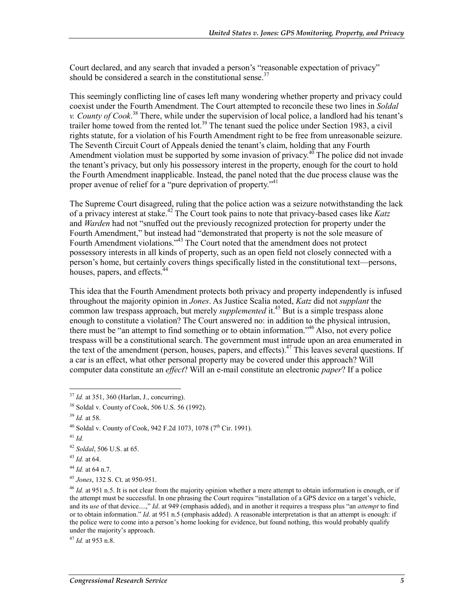Court declared, and any search that invaded a person's "reasonable expectation of privacy" should be considered a search in the constitutional sense. $37$ 

This seemingly conflicting line of cases left many wondering whether property and privacy could coexist under the Fourth Amendment. The Court attempted to reconcile these two lines in *Soldal v. County of Cook*. 38 There, while under the supervision of local police, a landlord had his tenant's trailer home towed from the rented lot.<sup>39</sup> The tenant sued the police under Section 1983, a civil rights statute, for a violation of his Fourth Amendment right to be free from unreasonable seizure. The Seventh Circuit Court of Appeals denied the tenant's claim, holding that any Fourth Amendment violation must be supported by some invasion of privacy. $40^{\circ}$  The police did not invade the tenant's privacy, but only his possessory interest in the property, enough for the court to hold the Fourth Amendment inapplicable. Instead, the panel noted that the due process clause was the proper avenue of relief for a "pure deprivation of property."<sup>41</sup>

The Supreme Court disagreed, ruling that the police action was a seizure notwithstanding the lack of a privacy interest at stake.42 The Court took pains to note that privacy-based cases like *Katz* and *Warden* had not "snuffed out the previously recognized protection for property under the Fourth Amendment," but instead had "demonstrated that property is not the sole measure of Fourth Amendment violations."<sup>43</sup> The Court noted that the amendment does not protect possessory interests in all kinds of property, such as an open field not closely connected with a person's home, but certainly covers things specifically listed in the constitutional text—persons, houses, papers, and effects.<sup>44</sup>

This idea that the Fourth Amendment protects both privacy and property independently is infused throughout the majority opinion in *Jones*. As Justice Scalia noted, *Katz* did not *supplant* the common law trespass approach, but merely *supplemented* it.<sup>45</sup> But is a simple trespass alone enough to constitute a violation? The Court answered no: in addition to the physical intrusion, there must be "an attempt to find something or to obtain information."46 Also, not every police trespass will be a constitutional search. The government must intrude upon an area enumerated in the text of the amendment (person, houses, papers, and effects).<sup>47</sup> This leaves several questions. If a car is an effect, what other personal property may be covered under this approach? Will computer data constitute an *effect*? Will an e-mail constitute an electronic *paper*? If a police

<sup>37</sup> *Id.* at 351, 360 (Harlan, J., concurring).

<sup>38</sup> Soldal v. County of Cook, 506 U.S. 56 (1992).

<sup>39</sup> *Id.* at 58.

<sup>&</sup>lt;sup>40</sup> Soldal v. County of Cook, 942 F.2d 1073, 1078 (7<sup>th</sup> Cir. 1991).

<sup>41</sup> *Id.*

<sup>42</sup> *Soldal*, 506 U.S. at 65.

<sup>43</sup> *Id.* at 64.

<sup>44</sup> *Id.* at 64 n.7.

<sup>45</sup> *Jones*, 132 S. Ct. at 950-951.

<sup>&</sup>lt;sup>46</sup> *Id.* at 951 n.5. It is not clear from the majority opinion whether a mere attempt to obtain information is enough, or if the attempt must be successful. In one phrasing the Court requires "installation of a GPS device on a target's vehicle, and its *use* of that device....," *Id*. at 949 (emphasis added), and in another it requires a trespass plus "an *attempt* to find or to obtain information." *Id*. at 951 n.5 (emphasis added). A reasonable interpretation is that an attempt is enough: if the police were to come into a person's home looking for evidence, but found nothing, this would probably qualify under the majority's approach.

<sup>47</sup> *Id.* at 953 n.8.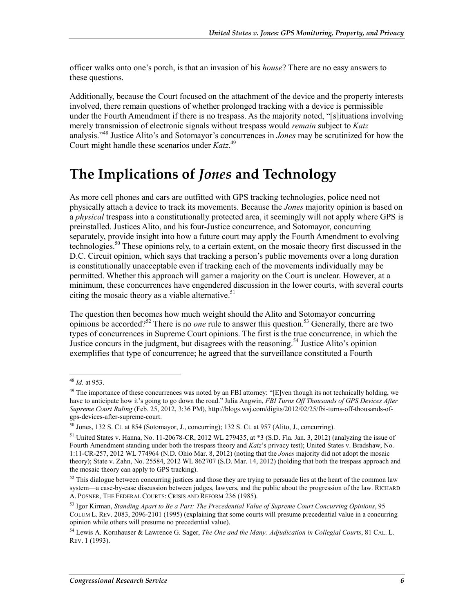officer walks onto one's porch, is that an invasion of his *house*? There are no easy answers to these questions.

Additionally, because the Court focused on the attachment of the device and the property interests involved, there remain questions of whether prolonged tracking with a device is permissible under the Fourth Amendment if there is no trespass. As the majority noted, "[s]ituations involving merely transmission of electronic signals without trespass would *remain* subject to *Katz*  analysis."48 Justice Alito's and Sotomayor's concurrences in *Jones* may be scrutinized for how the Court might handle these scenarios under *Katz*. 49

### **The Implications of** *Jones* **and Technology**

As more cell phones and cars are outfitted with GPS tracking technologies, police need not physically attach a device to track its movements. Because the *Jones* majority opinion is based on a *physical* trespass into a constitutionally protected area, it seemingly will not apply where GPS is preinstalled. Justices Alito, and his four-Justice concurrence, and Sotomayor, concurring separately, provide insight into how a future court may apply the Fourth Amendment to evolving technologies.<sup>50</sup> These opinions rely, to a certain extent, on the mosaic theory first discussed in the D.C. Circuit opinion, which says that tracking a person's public movements over a long duration is constitutionally unacceptable even if tracking each of the movements individually may be permitted. Whether this approach will garner a majority on the Court is unclear. However, at a minimum, these concurrences have engendered discussion in the lower courts, with several courts citing the mosaic theory as a viable alternative.<sup>51</sup>

The question then becomes how much weight should the Alito and Sotomayor concurring opinions be accorded?52 There is no *one* rule to answer this question.53 Generally, there are two types of concurrences in Supreme Court opinions. The first is the true concurrence, in which the Justice concurs in the judgment, but disagrees with the reasoning.<sup>54</sup> Justice Alito's opinion exemplifies that type of concurrence; he agreed that the surveillance constituted a Fourth

<sup>48</sup> *Id.* at 953.

<sup>&</sup>lt;sup>49</sup> The importance of these concurrences was noted by an FBI attorney: "[E]ven though its not technically holding, we have to anticipate how it's going to go down the road." Julia Angwin, *FBI Turns Off Thousands of GPS Devices After Supreme Court Ruling* (Feb. 25, 2012, 3:36 PM), http://blogs.wsj.com/digits/2012/02/25/fbi-turns-off-thousands-ofgps-devices-after-supreme-court.

<sup>50</sup> Jones, 132 S. Ct. at 854 (Sotomayor, J., concurring); 132 S. Ct. at 957 (Alito, J., concurring).

<sup>51</sup> United States v. Hanna, No. 11-20678-CR, 2012 WL 279435, at \*3 (S.D. Fla. Jan. 3, 2012) (analyzing the issue of Fourth Amendment standing under both the trespass theory and *Katz*'s privacy test); United States v. Bradshaw, No. 1:11-CR-257, 2012 WL 774964 (N.D. Ohio Mar. 8, 2012) (noting that the *Jones* majority did not adopt the mosaic theory); State v. Zahn, No. 25584, 2012 WL 862707 (S.D. Mar. 14, 2012) (holding that both the trespass approach and the mosaic theory can apply to GPS tracking).

 $52$  This dialogue between concurring justices and those they are trying to persuade lies at the heart of the common law system—a case-by-case discussion between judges, lawyers, and the public about the progression of the law. RICHARD A. POSNER, THE FEDERAL COURTS: CRISIS AND REFORM 236 (1985).

<sup>53</sup> Igor Kirman, *Standing Apart to Be a Part: The Precedential Value of Supreme Court Concurring Opinions*, 95 COLUM L. REV. 2083, 2096-2101 (1995) (explaining that some courts will presume precedential value in a concurring opinion while others will presume no precedential value).

<sup>54</sup> Lewis A. Kornhauser & Lawrence G. Sager, *The One and the Many: Adjudication in Collegial Courts*, 81 CAL. L. REV. 1 (1993).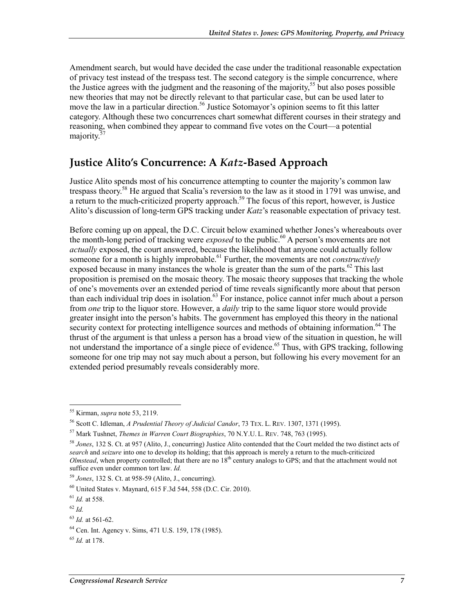Amendment search, but would have decided the case under the traditional reasonable expectation of privacy test instead of the trespass test. The second category is the simple concurrence, where the Justice agrees with the judgment and the reasoning of the majority,<sup>55</sup> but also poses possible new theories that may not be directly relevant to that particular case, but can be used later to move the law in a particular direction.<sup>56</sup> Justice Sotomayor's opinion seems to fit this latter category. Although these two concurrences chart somewhat different courses in their strategy and reasoning, when combined they appear to command five votes on the Court—a potential majority.<sup>57</sup>

#### **Justice Alito's Concurrence: A** *Katz***-Based Approach**

Justice Alito spends most of his concurrence attempting to counter the majority's common law trespass theory.<sup>58</sup> He argued that Scalia's reversion to the law as it stood in 1791 was unwise, and a return to the much-criticized property approach.<sup>59</sup> The focus of this report, however, is Justice Alito's discussion of long-term GPS tracking under *Katz*'s reasonable expectation of privacy test.

Before coming up on appeal, the D.C. Circuit below examined whether Jones's whereabouts over the month-long period of tracking were *exposed* to the public.<sup>60</sup> A person's movements are not *actually* exposed, the court answered, because the likelihood that anyone could actually follow someone for a month is highly improbable.<sup>61</sup> Further, the movements are not *constructively* exposed because in many instances the whole is greater than the sum of the parts.<sup>62</sup> This last proposition is premised on the mosaic theory. The mosaic theory supposes that tracking the whole of one's movements over an extended period of time reveals significantly more about that person than each individual trip does in isolation.<sup>63</sup> For instance, police cannot infer much about a person from *one* trip to the liquor store. However, a *daily* trip to the same liquor store would provide greater insight into the person's habits. The government has employed this theory in the national security context for protecting intelligence sources and methods of obtaining information.<sup>64</sup> The thrust of the argument is that unless a person has a broad view of the situation in question, he will not understand the importance of a single piece of evidence.<sup>65</sup> Thus, with GPS tracking, following someone for one trip may not say much about a person, but following his every movement for an extended period presumably reveals considerably more.

<sup>55</sup> Kirman, *supra* note 53, 2119.

<sup>56</sup> Scott C. Idleman, *A Prudential Theory of Judicial Candor*, 73 TEX. L. REV. 1307, 1371 (1995).

<sup>57</sup> Mark Tushnet, *Themes in Warren Court Biographies*, 70 N.Y.U. L. REV. 748, 763 (1995).

<sup>58</sup> *Jones*, 132 S. Ct. at 957 (Alito, J., concurring) Justice Alito contended that the Court melded the two distinct acts of *search* and *seizure* into one to develop its holding; that this approach is merely a return to the much-criticized *Olmstead*, when property controlled; that there are no 18<sup>th</sup> century analogs to GPS; and that the attachment would not suffice even under common tort law. *Id.* 

<sup>59</sup> *Jones*, 132 S. Ct. at 958-59 (Alito, J., concurring).

<sup>60</sup> United States v. Maynard, 615 F.3d 544, 558 (D.C. Cir. 2010).

<sup>61</sup> *Id.* at 558.

<sup>62</sup> *Id.*

<sup>63</sup> *Id.* at 561-62.

<sup>64</sup> Cen. Int. Agency v. Sims, 471 U.S. 159, 178 (1985).

<sup>65</sup> *Id.* at 178.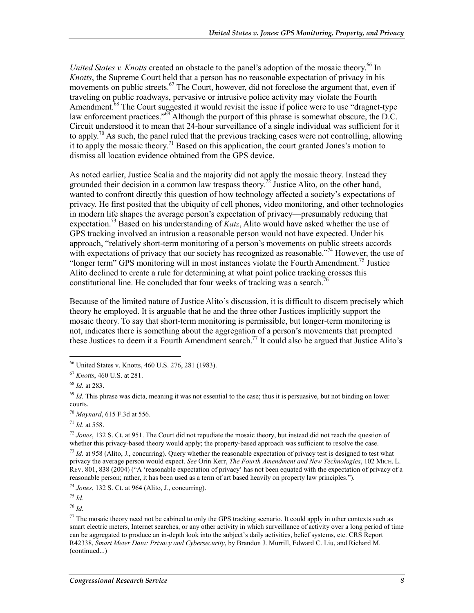*United States v. Knotts* created an obstacle to the panel's adoption of the mosaic theory.<sup>66</sup> In *Knotts*, the Supreme Court held that a person has no reasonable expectation of privacy in his movements on public streets.<sup>67</sup> The Court, however, did not foreclose the argument that, even if traveling on public roadways, pervasive or intrusive police activity may violate the Fourth Amendment.<sup>68</sup> The Court suggested it would revisit the issue if police were to use "dragnet-type" law enforcement practices."<sup>69</sup> Although the purport of this phrase is somewhat obscure, the D.C. Circuit understood it to mean that 24-hour surveillance of a single individual was sufficient for it to apply.<sup>70</sup> As such, the panel ruled that the previous tracking cases were not controlling, allowing it to apply the mosaic theory.<sup>71</sup> Based on this application, the court granted Jones's motion to dismiss all location evidence obtained from the GPS device.

As noted earlier, Justice Scalia and the majority did not apply the mosaic theory. Instead they grounded their decision in a common law trespass theory.<sup>72</sup> Justice Alito, on the other hand, wanted to confront directly this question of how technology affected a society's expectations of privacy. He first posited that the ubiquity of cell phones, video monitoring, and other technologies in modern life shapes the average person's expectation of privacy—presumably reducing that expectation.73 Based on his understanding of *Katz*, Alito would have asked whether the use of GPS tracking involved an intrusion a reasonable person would not have expected. Under his approach, "relatively short-term monitoring of a person's movements on public streets accords with expectations of privacy that our society has recognized as reasonable."<sup>74</sup> However, the use of "longer term" GPS monitoring will in most instances violate the Fourth Amendment.<sup>75</sup> Justice Alito declined to create a rule for determining at what point police tracking crosses this constitutional line. He concluded that four weeks of tracking was a search.<sup>76</sup>

Because of the limited nature of Justice Alito's discussion, it is difficult to discern precisely which theory he employed. It is arguable that he and the three other Justices implicitly support the mosaic theory. To say that short-term monitoring is permissible, but longer-term monitoring is not, indicates there is something about the aggregation of a person's movements that prompted these Justices to deem it a Fourth Amendment search.<sup>77</sup> It could also be argued that Justice Alito's

1

<sup>70</sup> *Maynard*, 615 F.3d at 556.

<sup>71</sup> *Id.* at 558.

<sup>72</sup> *Jones*, 132 S. Ct. at 951. The Court did not repudiate the mosaic theory, but instead did not reach the question of whether this privacy-based theory would apply; the property-based approach was sufficient to resolve the case.

<sup>73</sup> *Id.* at 958 (Alito, J., concurring). Query whether the reasonable expectation of privacy test is designed to test what privacy the average person would expect. *See* Orin Kerr, *The Fourth Amendment and New Technologies*, 102 MICH. L. REV. 801, 838 (2004) ("A 'reasonable expectation of privacy' has not been equated with the expectation of privacy of a reasonable person; rather, it has been used as a term of art based heavily on property law principles.").

<sup>74</sup> *Jones*, 132 S. Ct. at 964 (Alito, J., concurring).

<sup>75</sup> *Id.*

<sup>76</sup> *Id.* 

<sup>66</sup> United States v. Knotts, 460 U.S. 276, 281 (1983).

<sup>67</sup> *Knotts*, 460 U.S. at 281.

<sup>68</sup> *Id.* at 283.

 $69$  *Id.* This phrase was dicta, meaning it was not essential to the case; thus it is persuasive, but not binding on lower courts.

 $77$  The mosaic theory need not be cabined to only the GPS tracking scenario. It could apply in other contexts such as smart electric meters, Internet searches, or any other activity in which surveillance of activity over a long period of time can be aggregated to produce an in-depth look into the subject's daily activities, belief systems, etc. CRS Report R42338, *Smart Meter Data: Privacy and Cybersecurity*, by Brandon J. Murrill, Edward C. Liu, and Richard M. (continued...)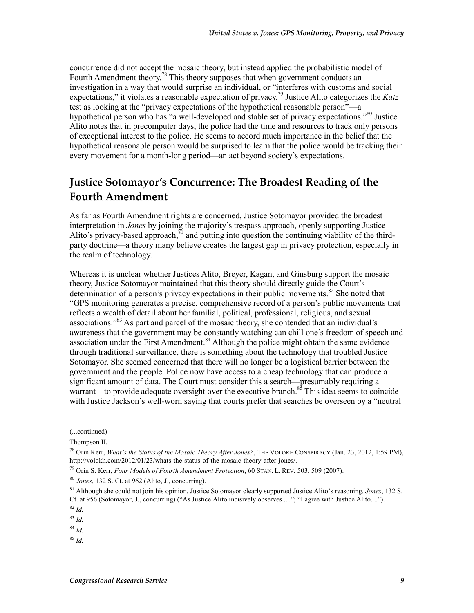concurrence did not accept the mosaic theory, but instead applied the probabilistic model of Fourth Amendment theory.<sup>78</sup> This theory supposes that when government conducts an investigation in a way that would surprise an individual, or "interferes with customs and social expectations," it violates a reasonable expectation of privacy.<sup>79</sup> Justice Alito categorizes the *Katz* test as looking at the "privacy expectations of the hypothetical reasonable person"—a hypothetical person who has "a well-developed and stable set of privacy expectations."80 Justice Alito notes that in precomputer days, the police had the time and resources to track only persons of exceptional interest to the police. He seems to accord much importance in the belief that the hypothetical reasonable person would be surprised to learn that the police would be tracking their every movement for a month-long period—an act beyond society's expectations.

#### **Justice Sotomayor's Concurrence: The Broadest Reading of the Fourth Amendment**

As far as Fourth Amendment rights are concerned, Justice Sotomayor provided the broadest interpretation in *Jones* by joining the majority's trespass approach, openly supporting Justice Alito's privacy-based approach, $81$  and putting into question the continuing viability of the thirdparty doctrine—a theory many believe creates the largest gap in privacy protection, especially in the realm of technology.

Whereas it is unclear whether Justices Alito, Breyer, Kagan, and Ginsburg support the mosaic theory, Justice Sotomayor maintained that this theory should directly guide the Court's determination of a person's privacy expectations in their public movements.<sup>82</sup> She noted that "GPS monitoring generates a precise, comprehensive record of a person's public movements that reflects a wealth of detail about her familial, political, professional, religious, and sexual associations."<sup>83</sup> As part and parcel of the mosaic theory, she contended that an individual's awareness that the government may be constantly watching can chill one's freedom of speech and association under the First Amendment.<sup>84</sup> Although the police might obtain the same evidence through traditional surveillance, there is something about the technology that troubled Justice Sotomayor. She seemed concerned that there will no longer be a logistical barrier between the government and the people. Police now have access to a cheap technology that can produce a significant amount of data. The Court must consider this a search—presumably requiring a warrant—to provide adequate oversight over the executive branch.<sup>85</sup> This idea seems to coincide with Justice Jackson's well-worn saying that courts prefer that searches be overseen by a "neutral

1

<sup>84</sup> *Id.*

<sup>85</sup> *Id.*

<sup>(...</sup>continued)

Thompson II.

<sup>78</sup> Orin Kerr, *What's the Status of the Mosaic Theory After Jones?*, THE VOLOKH CONSPIRACY (Jan. 23, 2012, 1:59 PM), http://volokh.com/2012/01/23/whats-the-status-of-the-mosaic-theory-after-jones/.

<sup>79</sup> Orin S. Kerr, *Four Models of Fourth Amendment Protection*, 60 STAN. L. REV. 503, 509 (2007).

<sup>80</sup> *Jones*, 132 S. Ct. at 962 (Alito, J., concurring).

<sup>81</sup> Although she could not join his opinion, Justice Sotomayor clearly supported Justice Alito's reasoning. *Jones*, 132 S. Ct. at 956 (Sotomayor, J., concurring) ("As Justice Alito incisively observes ...."; "I agree with Justice Alito....").

<sup>82</sup> *Id.*

<sup>83</sup> *Id.*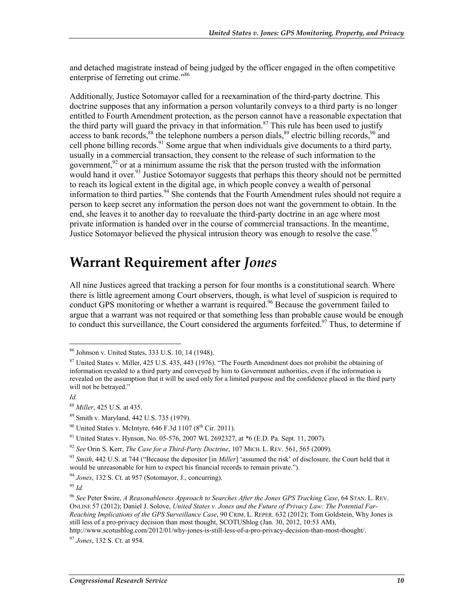and detached magistrate instead of being judged by the officer engaged in the often competitive enterprise of ferreting out crime."86

Additionally, Justice Sotomayor called for a reexamination of the third-party doctrine. This doctrine supposes that any information a person voluntarily conveys to a third party is no longer entitled to Fourth Amendment protection, as the person cannot have a reasonable expectation that the third party will guard the privacy in that information.<sup>87</sup> This rule has been used to justify access to bank records,  $88$  the telephone numbers a person dials,  $89$  electric billing records,  $90$  and cell phone billing records.<sup>91</sup> Some argue that when individuals give documents to a third party, usually in a commercial transaction, they consent to the release of such information to the government,  $92$  or at a minimum assume the risk that the person trusted with the information would hand it over.<sup>93</sup> Justice Sotomayor suggests that perhaps this theory should not be permitted to reach its logical extent in the digital age, in which people convey a wealth of personal information to third parties.  $94$  She contends that the Fourth Amendment rules should not require a person to keep secret any information the person does not want the government to obtain. In the end, she leaves it to another day to reevaluate the third-party doctrine in an age where most private information is handed over in the course of commercial transactions. In the meantime, Justice Sotomayor believed the physical intrusion theory was enough to resolve the case.<sup>95</sup>

#### **Warrant Requirement after** *Jones*

All nine Justices agreed that tracking a person for four months is a constitutional search. Where there is little agreement among Court observers, though, is what level of suspicion is required to conduct GPS monitoring or whether a warrant is required.<sup>96</sup> Because the government failed to argue that a warrant was not required or that something less than probable cause would be enough to conduct this surveillance, the Court considered the arguments forfeited.<sup>97</sup> Thus, to determine if

<u>.</u>

 $90$  United States v. McIntyre, 646 F.3d 1107 ( $8<sup>th</sup>$  Cir. 2011).

<sup>86</sup> Johnson v. United States, 333 U.S. 10, 14 (1948).

<sup>87</sup> United States v. Miller, 425 U.S. 435, 443 (1976). "The Fourth Amendment does not prohibit the obtaining of information revealed to a third party and conveyed by him to Government authorities, even if the information is revealed on the assumption that it will be used only for a limited purpose and the confidence placed in the third party will not be betrayed."

*Id.* 

<sup>88</sup> *Miller*, 425 U.S. at 435.

<sup>89</sup> Smith v. Maryland, 442 U.S. 735 (1979).

<sup>&</sup>lt;sup>91</sup> United States v. Hynson, No. 05-576, 2007 WL 2692327, at \*6 (E.D. Pa. Sept. 11, 2007).

<sup>92</sup> *See* Orin S. Kerr, *The Case for a Third-Party Doctrine*, 107 MICH. L. REV. 561, 565 (2009).

<sup>93</sup> *Smith*, 442 U.S. at 744 ("Because the depositor [in *Miller*] 'assumed the risk' of disclosure, the Court held that it would be unreasonable for him to expect his financial records to remain private.").

<sup>94</sup> *Jones*, 132 S. Ct. at 957 (Sotomayor, J., concurring).

<sup>95</sup> *Id.*

<sup>96</sup> *See* Peter Swire, *A Reasonableness Approach to Searches After the Jones GPS Tracking Case*, 64 STAN. L. REV. ONLINE 57 (2012); Daniel J. Solove, *United States v. Jones and the Future of Privacy Law: The Potential Far-Reaching Implications of the GPS Surveillance Case*, 90 CRIM. L. REPER. 632 (2012); Tom Goldstein, Why Jones is still less of a pro-privacy decision than most thought, SCOTUSblog (Jan. 30, 2012, 10:53 AM), http://www.scotusblog.com/2012/01/why-jones-is-still-less-of-a-pro-privacy-decision-than-most-thought/.

<sup>97</sup> *Jones*, 132 S. Ct. at 954.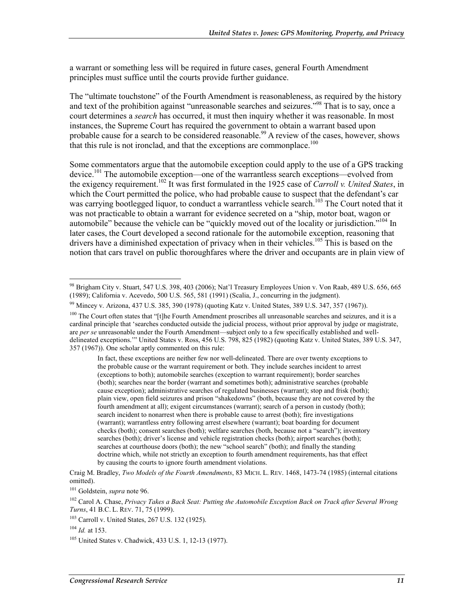a warrant or something less will be required in future cases, general Fourth Amendment principles must suffice until the courts provide further guidance.

The "ultimate touchstone" of the Fourth Amendment is reasonableness, as required by the history and text of the prohibition against "unreasonable searches and seizures."<sup>98</sup> That is to say, once a court determines a *search* has occurred, it must then inquiry whether it was reasonable. In most instances, the Supreme Court has required the government to obtain a warrant based upon probable cause for a search to be considered reasonable.<sup>99</sup> A review of the cases, however, shows that this rule is not ironclad, and that the exceptions are commonplace.<sup>100</sup>

Some commentators argue that the automobile exception could apply to the use of a GPS tracking device.<sup>101</sup> The automobile exception—one of the warrantless search exceptions—evolved from the exigency requirement.102 It was first formulated in the 1925 case of *Carroll v. United States*, in which the Court permitted the police, who had probable cause to suspect that the defendant's car was carrying bootlegged liquor, to conduct a warrantless vehicle search.<sup>103</sup> The Court noted that it was not practicable to obtain a warrant for evidence secreted on a "ship, motor boat, wagon or automobile" because the vehicle can be "quickly moved out of the locality or jurisdiction."<sup>104</sup> In later cases, the Court developed a second rationale for the automobile exception, reasoning that drivers have a diminished expectation of privacy when in their vehicles.<sup>105</sup> This is based on the notion that cars travel on public thoroughfares where the driver and occupants are in plain view of

In fact, these exceptions are neither few nor well-delineated. There are over twenty exceptions to the probable cause or the warrant requirement or both. They include searches incident to arrest (exceptions to both); automobile searches (exception to warrant requirement); border searches (both); searches near the border (warrant and sometimes both); administrative searches (probable cause exception); administrative searches of regulated businesses (warrant); stop and frisk (both); plain view, open field seizures and prison "shakedowns" (both, because they are not covered by the fourth amendment at all); exigent circumstances (warrant); search of a person in custody (both); search incident to nonarrest when there is probable cause to arrest (both); fire investigations (warrant); warrantless entry following arrest elsewhere (warrant); boat boarding for document checks (both); consent searches (both); welfare searches (both, because not a "search"); inventory searches (both); driver's license and vehicle registration checks (both); airport searches (both); searches at courthouse doors (both); the new "school search" (both); and finally the standing doctrine which, while not strictly an exception to fourth amendment requirements, has that effect by causing the courts to ignore fourth amendment violations.

Craig M. Bradley, *Two Models of the Fourth Amendments*, 83 MICH. L. REV. 1468, 1473-74 (1985) (internal citations omitted).

101 Goldstein, *supra* note 96.

<sup>98</sup> Brigham City v. Stuart, 547 U.S. 398, 403 (2006); Nat'l Treasury Employees Union v. Von Raab, 489 U.S. 656, 665 (1989); California v. Acevedo, 500 U.S. 565, 581 (1991) (Scalia, J., concurring in the judgment).

<sup>99</sup> Mincey v. Arizona, 437 U.S. 385, 390 (1978) (quoting Katz v. United States, 389 U.S. 347, 357 (1967)).

<sup>&</sup>lt;sup>100</sup> The Court often states that "[t]he Fourth Amendment proscribes all unreasonable searches and seizures, and it is a cardinal principle that 'searches conducted outside the judicial process, without prior approval by judge or magistrate, are *per se* unreasonable under the Fourth Amendment—subject only to a few specifically established and welldelineated exceptions.'" United States v. Ross, 456 U.S. 798, 825 (1982) (quoting Katz v. United States, 389 U.S. 347, 357 (1967)). One scholar aptly commented on this rule:

<sup>102</sup> Carol A. Chase, *Privacy Takes a Back Seat: Putting the Automobile Exception Back on Track after Several Wrong Turns*, 41 B.C. L. REV. 71, 75 (1999).

<sup>103</sup> Carroll v. United States, 267 U.S. 132 (1925).

 $104$  *Id.* at 153.

<sup>105</sup> United States v. Chadwick, 433 U.S. 1, 12-13 (1977).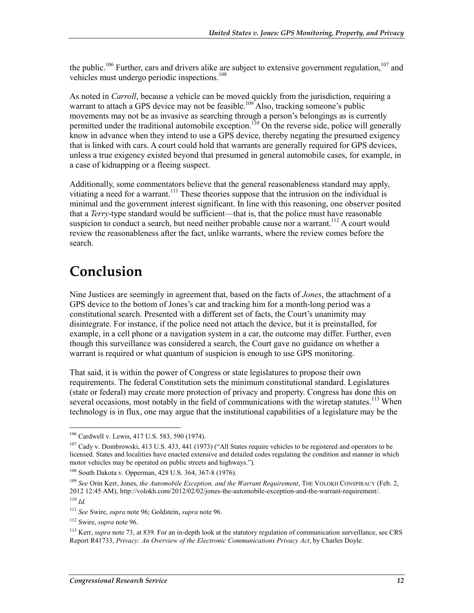the public.<sup>106</sup> Further, cars and drivers alike are subject to extensive government regulation,<sup>107</sup> and vehicles must undergo periodic inspections.<sup>108</sup>

As noted in *Carroll*, because a vehicle can be moved quickly from the jurisdiction, requiring a warrant to attach a GPS device may not be feasible.<sup>109</sup> Also, tracking someone's public movements may not be as invasive as searching through a person's belongings as is currently permitted under the traditional automobile exception.<sup>110</sup> On the reverse side, police will generally know in advance when they intend to use a GPS device, thereby negating the presumed exigency that is linked with cars. A court could hold that warrants are generally required for GPS devices, unless a true exigency existed beyond that presumed in general automobile cases, for example, in a case of kidnapping or a fleeing suspect.

Additionally, some commentators believe that the general reasonableness standard may apply, vitiating a need for a warrant.<sup>111</sup> These theories suppose that the intrusion on the individual is minimal and the government interest significant. In line with this reasoning, one observer posited that a *Terry*-type standard would be sufficient—that is, that the police must have reasonable suspicion to conduct a search, but need neither probable cause nor a warrant.<sup>112</sup> A court would review the reasonableness after the fact, unlike warrants, where the review comes before the search.

## **Conclusion**

Nine Justices are seemingly in agreement that, based on the facts of *Jones*, the attachment of a GPS device to the bottom of Jones's car and tracking him for a month-long period was a constitutional search. Presented with a different set of facts, the Court's unanimity may disintegrate. For instance, if the police need not attach the device, but it is preinstalled, for example, in a cell phone or a navigation system in a car, the outcome may differ. Further, even though this surveillance was considered a search, the Court gave no guidance on whether a warrant is required or what quantum of suspicion is enough to use GPS monitoring.

That said, it is within the power of Congress or state legislatures to propose their own requirements. The federal Constitution sets the minimum constitutional standard. Legislatures (state or federal) may create more protection of privacy and property. Congress has done this on several occasions, most notably in the field of communications with the wiretap statutes.<sup>113</sup> When technology is in flux, one may argue that the institutional capabilities of a legislature may be the

<sup>&</sup>lt;sup>106</sup> Cardwell v. Lewis, 417 U.S. 583, 590 (1974).

<sup>&</sup>lt;sup>107</sup> Cady v. Dombrowski, 413 U.S. 433, 441 (1973) ("All States require vehicles to be registered and operators to be licensed. States and localities have enacted extensive and detailed codes regulating the condition and manner in which motor vehicles may be operated on public streets and highways.").

<sup>108</sup> South Dakota v. Opperman, 428 U.S. 364, 367-8 (1976).

<sup>&</sup>lt;sup>109</sup> *See* Orin Kerr, Jones, *the Automobile Exception, and the Warrant Requirement*, THE VOLOKH CONSPIRACY (Feb. 2, 2012 12:45 AM), http://volokh.com/2012/02/02/jones-the-automobile-exception-and-the-warrant-requirement/.  $110$  *Id.* 

<sup>111</sup> *See* Swire, *supra* note 96; Goldstein, *supra* note 96.

<sup>112</sup> Swire, *supra* note 96.

<sup>&</sup>lt;sup>113</sup> Kerr, *supra* note 73, at 839. For an in-depth look at the statutory regulation of communication surveillance, see CRS Report R41733, *Privacy: An Overview of the Electronic Communications Privacy Act*, by Charles Doyle.